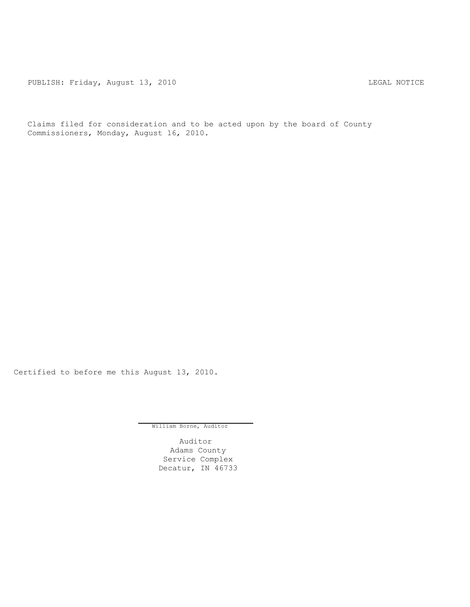PUBLISH: Friday, August 13, 2010 CHA CHANGE CONTROLLY AND THE LEGAL NOTICE

Claims filed for consideration and to be acted upon by the board of County Commissioners, Monday, August 16, 2010.

Certified to before me this August 13, 2010.

William Borne, Auditor

Auditor Adams County Service Complex Decatur, IN 46733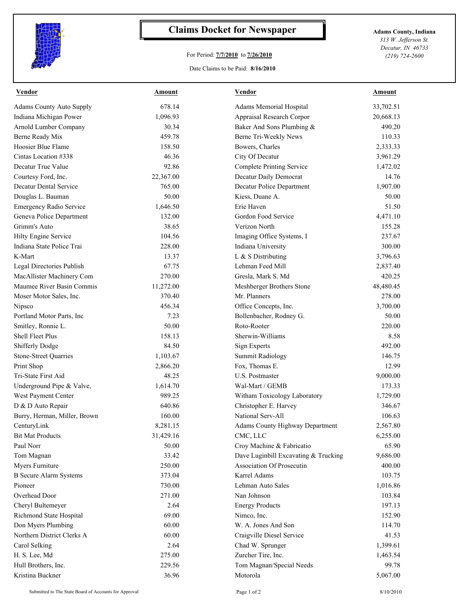

## **Claims Docket for Newspaper Adams County, Indiana**

## For Period: **7/7/2010** to **7/26/2010**

*313 W. Jefferson St. Decatur, IN 46733 (219) 724-2600*

## Date Claims to be Paid: **8/16/2010**

| Vendor                          | Amount    | Vendor                               | Amount    |
|---------------------------------|-----------|--------------------------------------|-----------|
| <b>Adams County Auto Supply</b> | 678.14    | Adams Memorial Hospital              | 33,702.51 |
| Indiana Michigan Power          | 1,096.93  | Appraisal Research Corpor            | 20,668.13 |
| Arnold Lumber Company           | 30.34     | Baker And Sons Plumbing &            | 490.20    |
| Berne Ready Mix                 | 459.78    | Berne Tri-Weekly News                | 110.33    |
| Hoosier Blue Flame              | 158.50    | Bowers, Charles                      | 2,333.33  |
| Cintas Location #338            | 46.36     | City Of Decatur                      | 3,961.29  |
| Decatur True Value              | 92.86     | Complete Printing Service            | 1,472.02  |
| Courtesy Ford, Inc.             | 22,367.00 | Decatur Daily Democrat               | 14.76     |
| Decatur Dental Service          | 765.00    | Decatur Police Department            | 1,907.00  |
| Douglas L. Bauman               | 50.00     | Kiess, Duane A.                      | 50.00     |
| <b>Emergency Radio Service</b>  | 1,646.50  | Erie Haven                           | 51.50     |
| Geneva Police Department        | 132.00    | Gordon Food Service                  | 4,471.10  |
| Grimm's Auto                    | 38.65     | Verizon North                        | 155.28    |
| Hilty Engine Service            | 104.56    | Imaging Office Systems, I            | 237.67    |
| Indiana State Police Trai       | 228.00    | Indiana University                   | 300.00    |
| K-Mart                          | 13.37     | L & S Distributing                   | 3,796.63  |
| Legal Directories Publish       | 67.75     | Lehman Feed Mill                     | 2,837.40  |
| MacAllister Machinery Com       | 270.00    | Gresla, Mark S. Md                   | 420.25    |
| Maumee River Basin Commis       | 11,272.00 | Meshberger Brothers Stone            | 48,480.45 |
| Moser Motor Sales, Inc.         | 370.40    | Mr. Planners                         | 278.00    |
| Nipsco                          | 456.34    | Office Concepts, Inc.                | 3,700.00  |
| Portland Motor Parts, Inc       | 7.23      | Bollenbacher, Rodney G.              | 50.00     |
| Smitley, Ronnie L.              | 50.00     | Roto-Rooter                          | 220.00    |
| Shell Fleet Plus                | 158.13    | Sherwin-Williams                     | 8.58      |
| <b>Shifferly Dodge</b>          | 84.50     | Sign Experts                         | 492.00    |
| <b>Stone-Street Quarries</b>    | 1,103.67  | <b>Summit Radiology</b>              | 146.75    |
| Print Shop                      | 2,866.20  | Fox, Thomas E.                       | 12.99     |
| Tri-State First Aid             | 48.25     | U.S. Postmaster                      | 9,000.00  |
| Underground Pipe & Valve,       | 1,614.70  | Wal-Mart / GEMB                      | 173.33    |
| West Payment Center             | 989.25    | Witham Toxicology Laboratory         | 1,729.00  |
| D & D Auto Repair               | 640.86    | Christopher E. Harvey                | 346.67    |
| Burry, Herman, Miller, Brown    | 160.00    | National Serv-All                    | 106.63    |
| CenturyLink                     | 8,281.15  | Adams County Highway Department      | 2,567.80  |
| <b>Bit Mat Products</b>         | 31,429.16 | CMC, LLC                             | 6,255.00  |
| Paul Norr                       | 50.00     | Croy Machine & Fabricatio            | 65.90     |
| Tom Magnan                      | 33.42     | Dave Luginbill Excavating & Trucking | 9,686.00  |
| Myers Furniture                 | 250.00    | Association Of Prosecutin            | 400.00    |
| <b>B</b> Secure Alarm Systems   | 373.04    | Karrel Adams                         | 103.75    |
| Pioneer                         | 730.00    | Lehman Auto Sales                    | 1,016.86  |
| Overhead Door                   | 271.00    | Nan Johnson                          | 103.84    |
| Cheryl Bultemeyer               | 2.64      | <b>Energy Products</b>               | 197.13    |
| Richmond State Hospital         | 69.00     | Nimco, Inc.                          | 152.90    |
| Don Myers Plumbing              | 60.00     | W. A. Jones And Son                  | 114.70    |
| Northern District Clerks A      | 60.00     | Craigville Diesel Service            | 41.53     |
| Carol Selking                   | 2.64      | Chad W. Sprunger                     | 1,399.61  |
| H. S. Lee, Md                   | 275.00    | Zurcher Tire, Inc.                   | 1,463.54  |
| Hull Brothers, Inc.             | 229.56    | Tom Magnan/Special Needs             | 99.78     |
| Kristina Buckner                | 36.96     | Motorola                             | 5,067.00  |